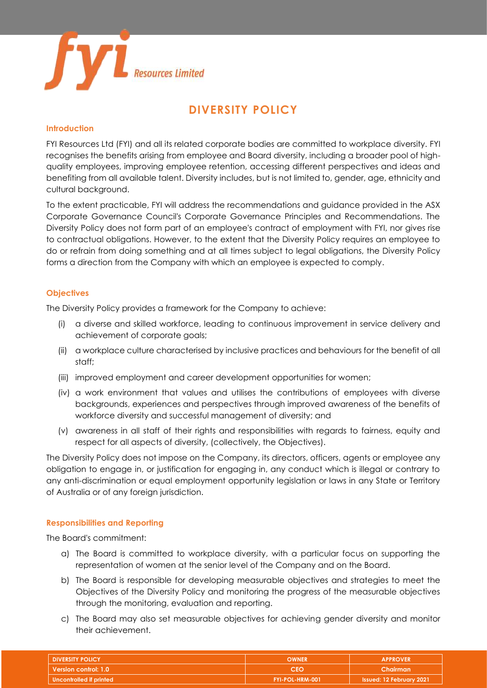

## **DIVERSITY POLICY**

## **Introduction**

FYI Resources Ltd (FYI) and all its related corporate bodies are committed to workplace diversity. FYI recognises the benefits arising from employee and Board diversity, including a broader pool of highquality employees, improving employee retention, accessing different perspectives and ideas and benefiting from all available talent. Diversity includes, but is not limited to, gender, age, ethnicity and cultural background.

To the extent practicable, FYI will address the recommendations and guidance provided in the ASX Corporate Governance Council's Corporate Governance Principles and Recommendations. The Diversity Policy does not form part of an employee's contract of employment with FYI, nor gives rise to contractual obligations. However, to the extent that the Diversity Policy requires an employee to do or refrain from doing something and at all times subject to legal obligations, the Diversity Policy forms a direction from the Company with which an employee is expected to comply.

## **Objectives**

The Diversity Policy provides a framework for the Company to achieve:

- (i) a diverse and skilled workforce, leading to continuous improvement in service delivery and achievement of corporate goals;
- (ii) a workplace culture characterised by inclusive practices and behaviours for the benefit of all staff;
- (iii) improved employment and career development opportunities for women;
- (iv) a work environment that values and utilises the contributions of employees with diverse backgrounds, experiences and perspectives through improved awareness of the benefits of workforce diversity and successful management of diversity; and
- (v) awareness in all staff of their rights and responsibilities with regards to fairness, equity and respect for all aspects of diversity, (collectively, the Objectives).

The Diversity Policy does not impose on the Company, its directors, officers, agents or employee any obligation to engage in, or justification for engaging in, any conduct which is illegal or contrary to any anti-discrimination or equal employment opportunity legislation or laws in any State or Territory of Australia or of any foreign jurisdiction.

## **Responsibilities and Reporting**

The Board's commitment:

- a) The Board is committed to workplace diversity, with a particular focus on supporting the representation of women at the senior level of the Company and on the Board.
- b) The Board is responsible for developing measurable objectives and strategies to meet the Objectives of the Diversity Policy and monitoring the progress of the measurable objectives through the monitoring, evaluation and reporting.
- c) The Board may also set measurable objectives for achieving gender diversity and monitor their achievement.

| <b>DIVERSITY POLICY</b> | <b>OWNER</b>           | <b>APPROVER</b>                 |
|-------------------------|------------------------|---------------------------------|
| Version control: 1.0    | ≃⊧с                    | Chairman                        |
| Uncontrolled if printed | <b>FYI-POL-HRM-001</b> | <b>Issued: 12 February 2021</b> |